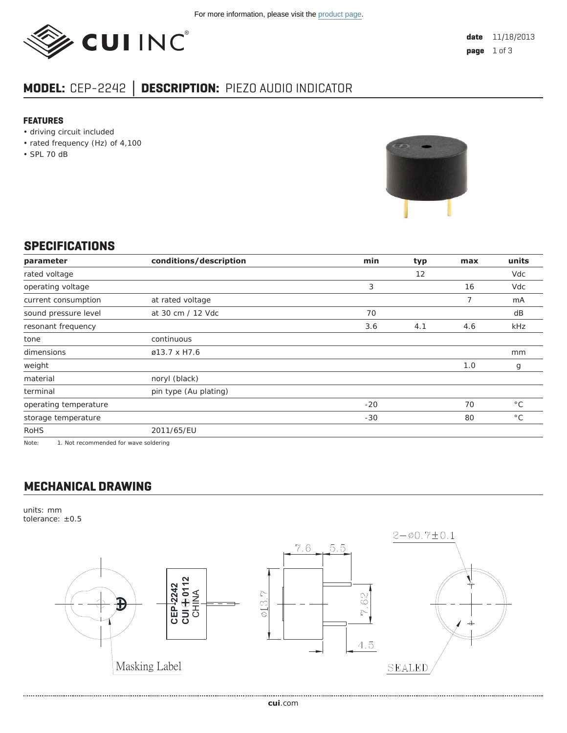

# **MODEL:** CEP-2242 **│ DESCRIPTION:** PIEZO AUDIO INDICATOR

#### **FEATURES**

- driving circuit included
- rated frequency (Hz) of 4,100
- SPL 70 dB



#### **SPECIFICATIONS**

| parameter             | conditions/description | min   | typ | max | units        |
|-----------------------|------------------------|-------|-----|-----|--------------|
| rated voltage         |                        |       | 12  |     | Vdc          |
| operating voltage     |                        | 3     |     | 16  | Vdc          |
| current consumption   | at rated voltage       |       |     | 7   | mA           |
| sound pressure level  | at 30 cm / 12 Vdc      | 70    |     |     | dB           |
| resonant frequency    |                        | 3.6   | 4.1 | 4.6 | kHz          |
| tone                  | continuous             |       |     |     |              |
| dimensions            | ø13.7 x H7.6           |       |     |     | mm           |
| weight                |                        |       |     | 1.0 | g            |
| material              | noryl (black)          |       |     |     |              |
| terminal              | pin type (Au plating)  |       |     |     |              |
| operating temperature |                        | $-20$ |     | 70  | $^{\circ}$ C |
| storage temperature   |                        | $-30$ |     | 80  | $^{\circ}$ C |
| <b>RoHS</b>           | 2011/65/EU             |       |     |     |              |

Note: 1. Not recommended for wave soldering

### **MECHANICAL DRAWING**

units: mm tolerance: ±0.5

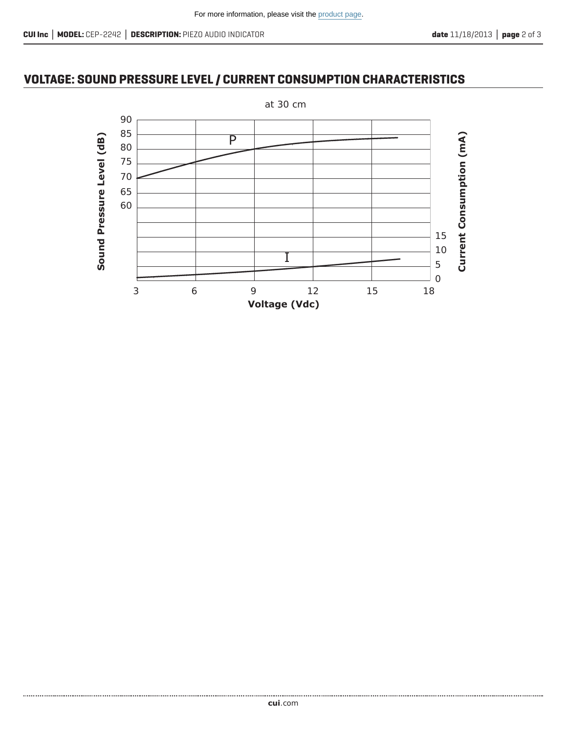## **VOLTAGE: SOUND PRESSURE LEVEL / CURRENT CONSUMPTION CHARACTERISTICS**